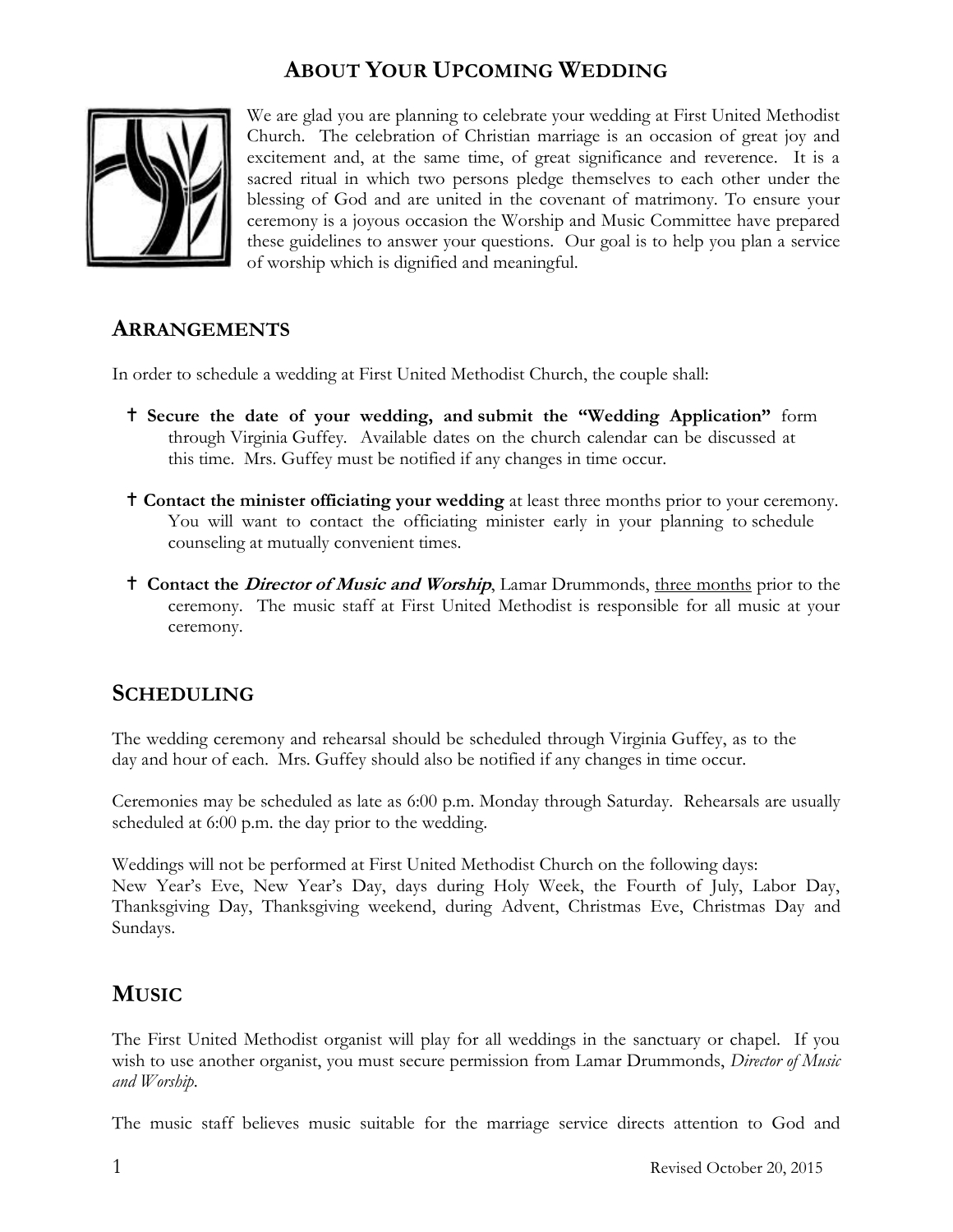# **ABOUT YOUR UPCOMING WEDDING**



We are glad you are planning to celebrate your wedding at First United Methodist Church. The celebration of Christian marriage is an occasion of great joy and excitement and, at the same time, of great significance and reverence. It is a sacred ritual in which two persons pledge themselves to each other under the blessing of God and are united in the covenant of matrimony. To ensure your ceremony is a joyous occasion the Worship and Music Committee have prepared these guidelines to answer your questions. Our goal is to help you plan a service of worship which is dignified and meaningful.

### **ARRANGEMENTS**

In order to schedule a wedding at First United Methodist Church, the couple shall:

- **Secure the date of your wedding, and submit the "Wedding Application"** form through Virginia Guffey*.* Available dates on the church calendar can be discussed at this time. Mrs. Guffey must be notified if any changes in time occur.
- **Contact the minister officiating your wedding** at least three months prior to your ceremony. You will want to contact the officiating minister early in your planning to schedule counseling at mutually convenient times.
- **Contact the Director of Music and Worship**, Lamar Drummonds, three months prior to the ceremony. The music staff at First United Methodist is responsible for all music at your ceremony.

### **SCHEDULING**

The wedding ceremony and rehearsal should be scheduled through Virginia Guffey, as to the day and hour of each. Mrs. Guffey should also be notified if any changes in time occur.

Ceremonies may be scheduled as late as 6:00 p.m. Monday through Saturday. Rehearsals are usually scheduled at 6:00 p.m. the day prior to the wedding.

Weddings will not be performed at First United Methodist Church on the following days: New Year's Eve, New Year's Day, days during Holy Week, the Fourth of July, Labor Day, Thanksgiving Day, Thanksgiving weekend, during Advent, Christmas Eve, Christmas Day and Sundays.

### **MUSIC**

The First United Methodist organist will play for all weddings in the sanctuary or chapel. If you wish to use another organist, you must secure permission from Lamar Drummonds, *Director of Music and Worship*.

The music staff believes music suitable for the marriage service directs attention to God and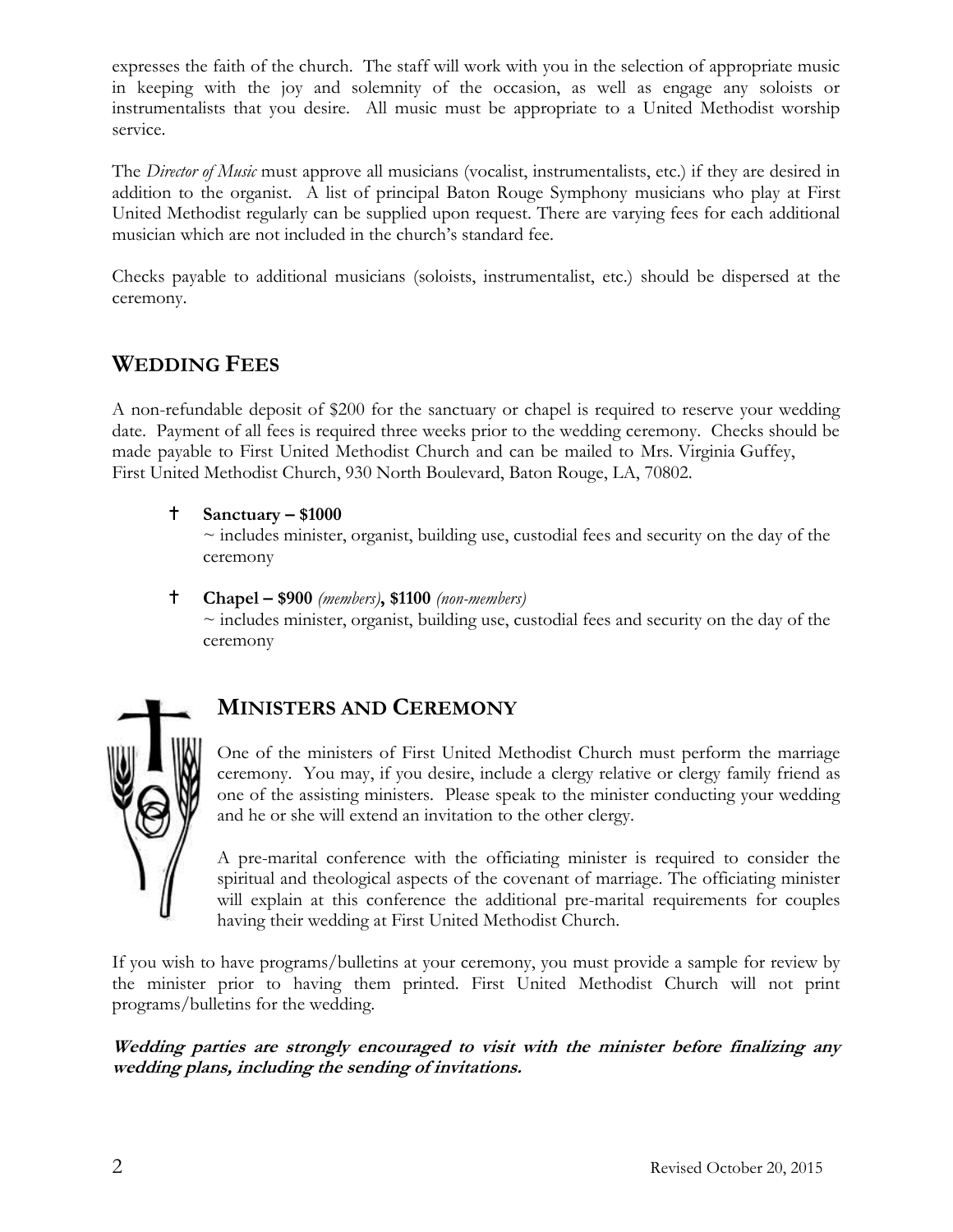expresses the faith of the church. The staff will work with you in the selection of appropriate music in keeping with the joy and solemnity of the occasion, as well as engage any soloists or instrumentalists that you desire. All music must be appropriate to a United Methodist worship service.

The *Director of Music* must approve all musicians (vocalist, instrumentalists, etc.) if they are desired in addition to the organist. A list of principal Baton Rouge Symphony musicians who play at First United Methodist regularly can be supplied upon request. There are varying fees for each additional musician which are not included in the church's standard fee.

Checks payable to additional musicians (soloists, instrumentalist, etc.) should be dispersed at the ceremony.

### **WEDDING FEES**

A non-refundable deposit of \$200 for the sanctuary or chapel is required to reserve your wedding date. Payment of all fees is required three weeks prior to the wedding ceremony. Checks should be made payable to First United Methodist Church and can be mailed to Mrs. Virginia Guffey, First United Methodist Church, 930 North Boulevard, Baton Rouge, LA, 70802.

**Sanctuary – \$1000**

 $\sim$  includes minister, organist, building use, custodial fees and security on the day of the ceremony

 **Chapel – \$900** *(members)***, \$1100** *(non-members)*  $\sim$  includes minister, organist, building use, custodial fees and security on the day of the ceremony



# **MINISTERS AND CEREMONY**

One of the ministers of First United Methodist Church must perform the marriage ceremony. You may, if you desire, include a clergy relative or clergy family friend as one of the assisting ministers. Please speak to the minister conducting your wedding and he or she will extend an invitation to the other clergy.

A pre-marital conference with the officiating minister is required to consider the spiritual and theological aspects of the covenant of marriage. The officiating minister will explain at this conference the additional pre-marital requirements for couples having their wedding at First United Methodist Church.

If you wish to have programs/bulletins at your ceremony, you must provide a sample for review by the minister prior to having them printed. First United Methodist Church will not print programs/bulletins for the wedding.

**Wedding parties are strongly encouraged to visit with the minister before finalizing any wedding plans, including the sending of invitations.**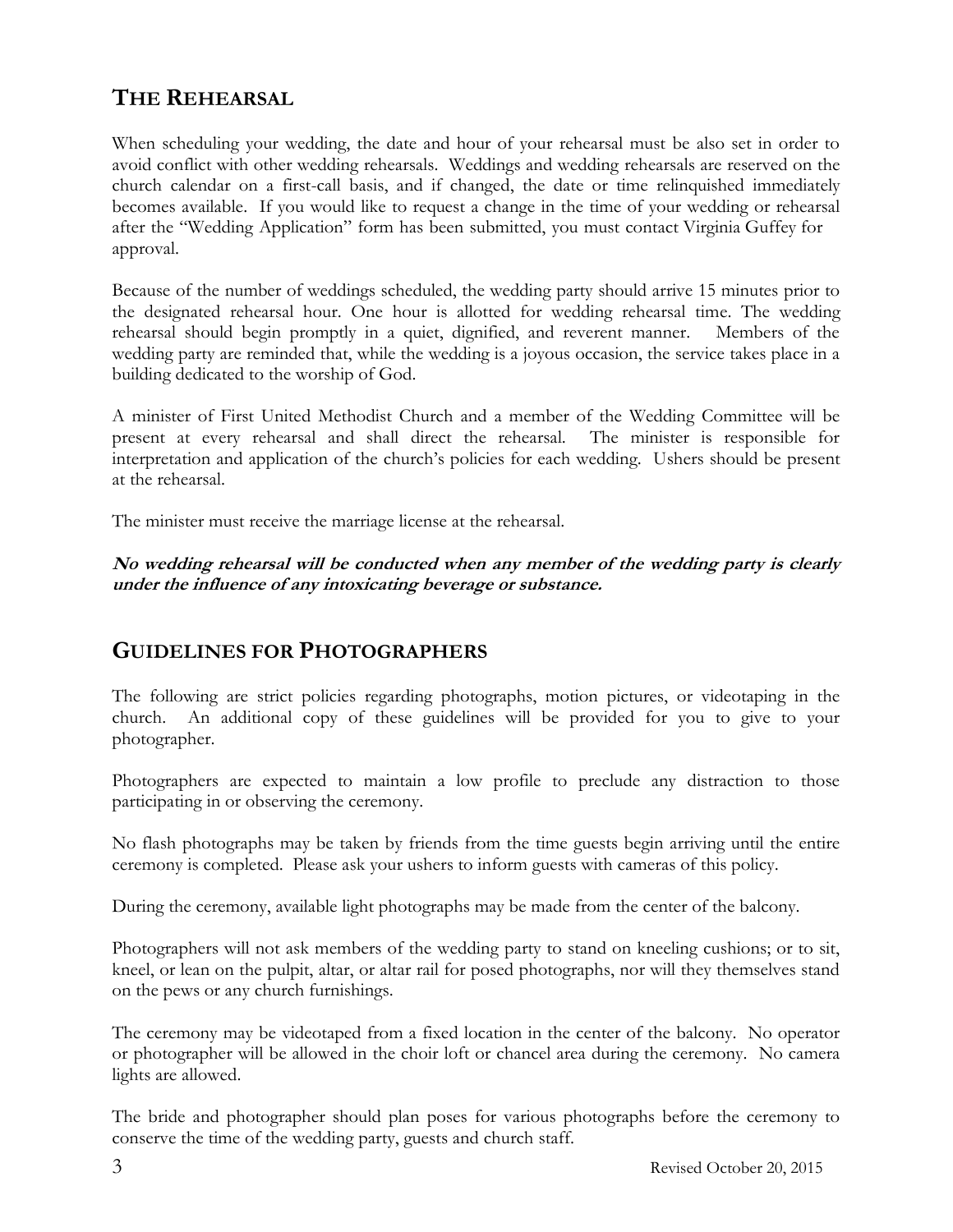# **THE REHEARSAL**

When scheduling your wedding, the date and hour of your rehearsal must be also set in order to avoid conflict with other wedding rehearsals. Weddings and wedding rehearsals are reserved on the church calendar on a first-call basis, and if changed, the date or time relinquished immediately becomes available. If you would like to request a change in the time of your wedding or rehearsal after the "Wedding Application" form has been submitted, you must contact Virginia Guffey for approval.

Because of the number of weddings scheduled, the wedding party should arrive 15 minutes prior to the designated rehearsal hour. One hour is allotted for wedding rehearsal time. The wedding rehearsal should begin promptly in a quiet, dignified, and reverent manner. Members of the wedding party are reminded that, while the wedding is a joyous occasion, the service takes place in a building dedicated to the worship of God.

A minister of First United Methodist Church and a member of the Wedding Committee will be present at every rehearsal and shall direct the rehearsal. The minister is responsible for interpretation and application of the church's policies for each wedding. Ushers should be present at the rehearsal.

The minister must receive the marriage license at the rehearsal.

**No wedding rehearsal will be conducted when any member of the wedding party is clearly under the influence of any intoxicating beverage or substance.**

### **GUIDELINES FOR PHOTOGRAPHERS**

The following are strict policies regarding photographs, motion pictures, or videotaping in the church. An additional copy of these guidelines will be provided for you to give to your photographer.

Photographers are expected to maintain a low profile to preclude any distraction to those participating in or observing the ceremony.

No flash photographs may be taken by friends from the time guests begin arriving until the entire ceremony is completed. Please ask your ushers to inform guests with cameras of this policy.

During the ceremony, available light photographs may be made from the center of the balcony.

Photographers will not ask members of the wedding party to stand on kneeling cushions; or to sit, kneel, or lean on the pulpit, altar, or altar rail for posed photographs, nor will they themselves stand on the pews or any church furnishings.

The ceremony may be videotaped from a fixed location in the center of the balcony. No operator or photographer will be allowed in the choir loft or chancel area during the ceremony. No camera lights are allowed.

The bride and photographer should plan poses for various photographs before the ceremony to conserve the time of the wedding party, guests and church staff.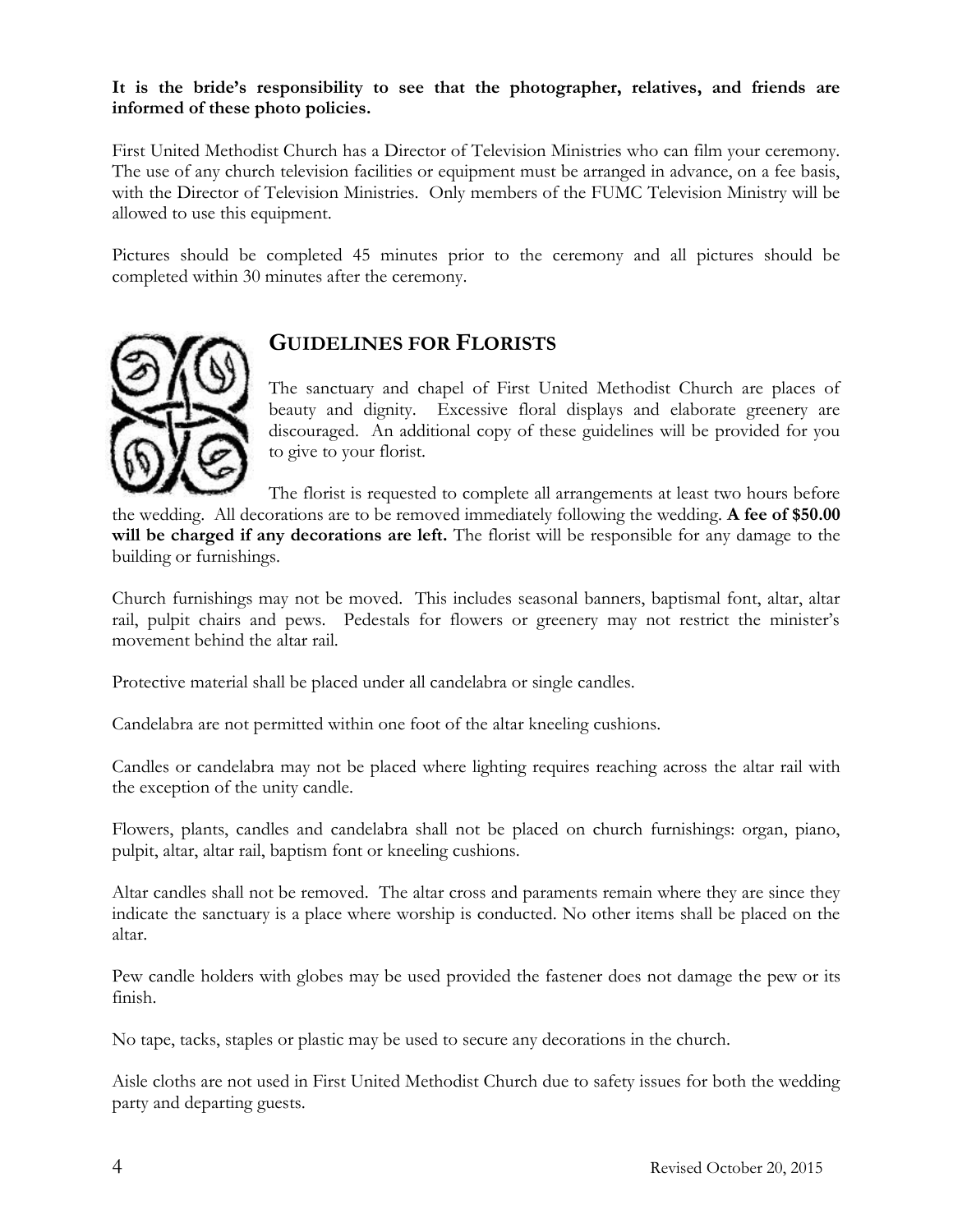#### **It is the bride's responsibility to see that the photographer, relatives, and friends are informed of these photo policies.**

First United Methodist Church has a Director of Television Ministries who can film your ceremony. The use of any church television facilities or equipment must be arranged in advance, on a fee basis, with the Director of Television Ministries. Only members of the FUMC Television Ministry will be allowed to use this equipment.

Pictures should be completed 45 minutes prior to the ceremony and all pictures should be completed within 30 minutes after the ceremony.



### **GUIDELINES FOR FLORISTS**

The sanctuary and chapel of First United Methodist Church are places of beauty and dignity. Excessive floral displays and elaborate greenery are discouraged. An additional copy of these guidelines will be provided for you to give to your florist.

The florist is requested to complete all arrangements at least two hours before the wedding. All decorations are to be removed immediately following the wedding. **A fee of \$50.00 will be charged if any decorations are left.** The florist will be responsible for any damage to the building or furnishings.

Church furnishings may not be moved. This includes seasonal banners, baptismal font, altar, altar rail, pulpit chairs and pews. Pedestals for flowers or greenery may not restrict the minister's movement behind the altar rail.

Protective material shall be placed under all candelabra or single candles.

Candelabra are not permitted within one foot of the altar kneeling cushions.

Candles or candelabra may not be placed where lighting requires reaching across the altar rail with the exception of the unity candle.

Flowers, plants, candles and candelabra shall not be placed on church furnishings: organ, piano, pulpit, altar, altar rail, baptism font or kneeling cushions.

Altar candles shall not be removed. The altar cross and paraments remain where they are since they indicate the sanctuary is a place where worship is conducted. No other items shall be placed on the altar.

Pew candle holders with globes may be used provided the fastener does not damage the pew or its finish.

No tape, tacks, staples or plastic may be used to secure any decorations in the church.

Aisle cloths are not used in First United Methodist Church due to safety issues for both the wedding party and departing guests.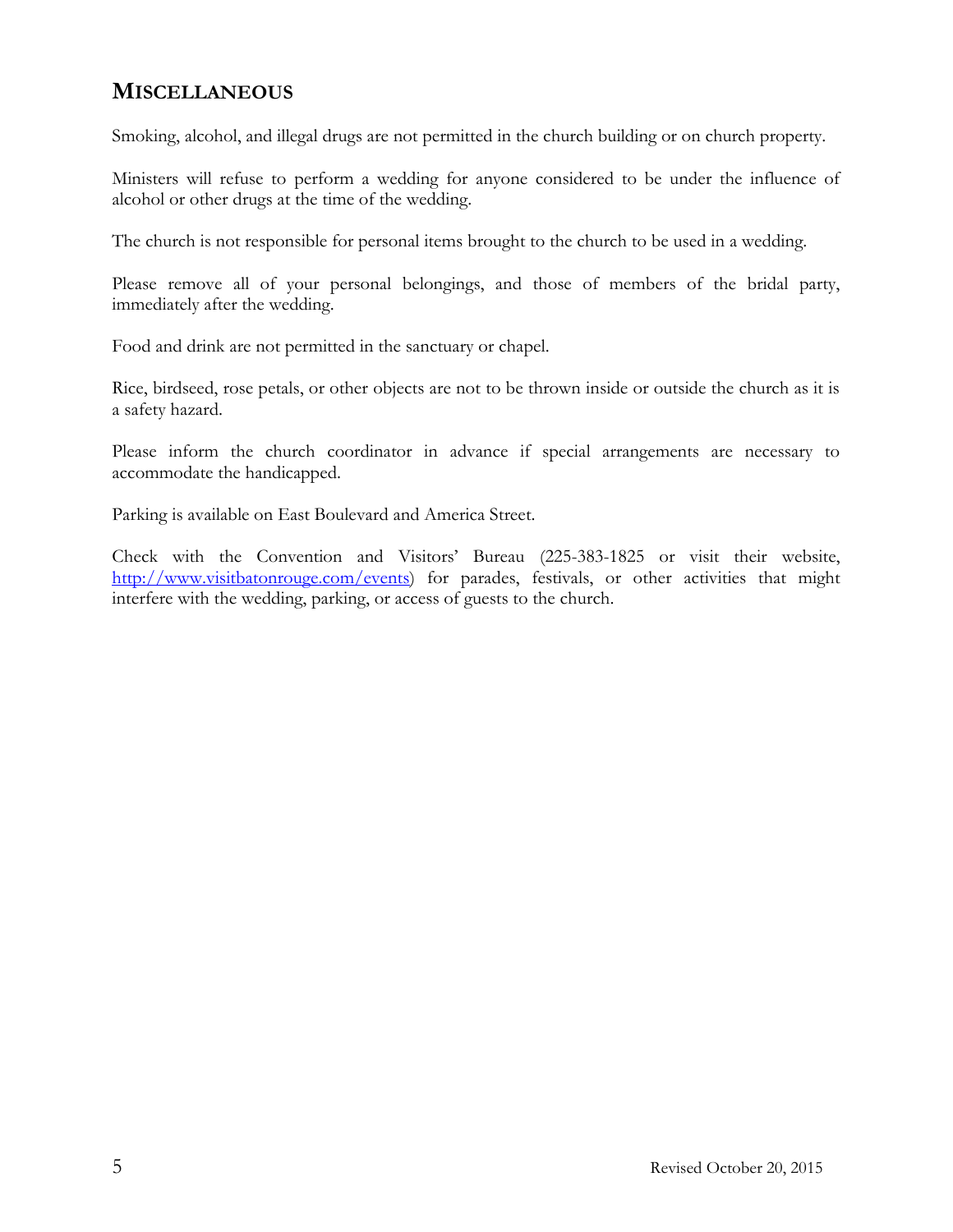### **MISCELLANEOUS**

Smoking, alcohol, and illegal drugs are not permitted in the church building or on church property.

Ministers will refuse to perform a wedding for anyone considered to be under the influence of alcohol or other drugs at the time of the wedding.

The church is not responsible for personal items brought to the church to be used in a wedding.

Please remove all of your personal belongings, and those of members of the bridal party, immediately after the wedding.

Food and drink are not permitted in the sanctuary or chapel.

Rice, birdseed, rose petals, or other objects are not to be thrown inside or outside the church as it is a safety hazard.

Please inform the church coordinator in advance if special arrangements are necessary to accommodate the handicapped.

Parking is available on East Boulevard and America Street.

Check with the Convention and Visitors' Bureau (225-383-1825 or visit their website, [http://www.visitbatonrouge.com/events\)](http://www.visitbatonrouge.com/events) for parades, festivals, or other activities that might interfere with the wedding, parking, or access of guests to the church.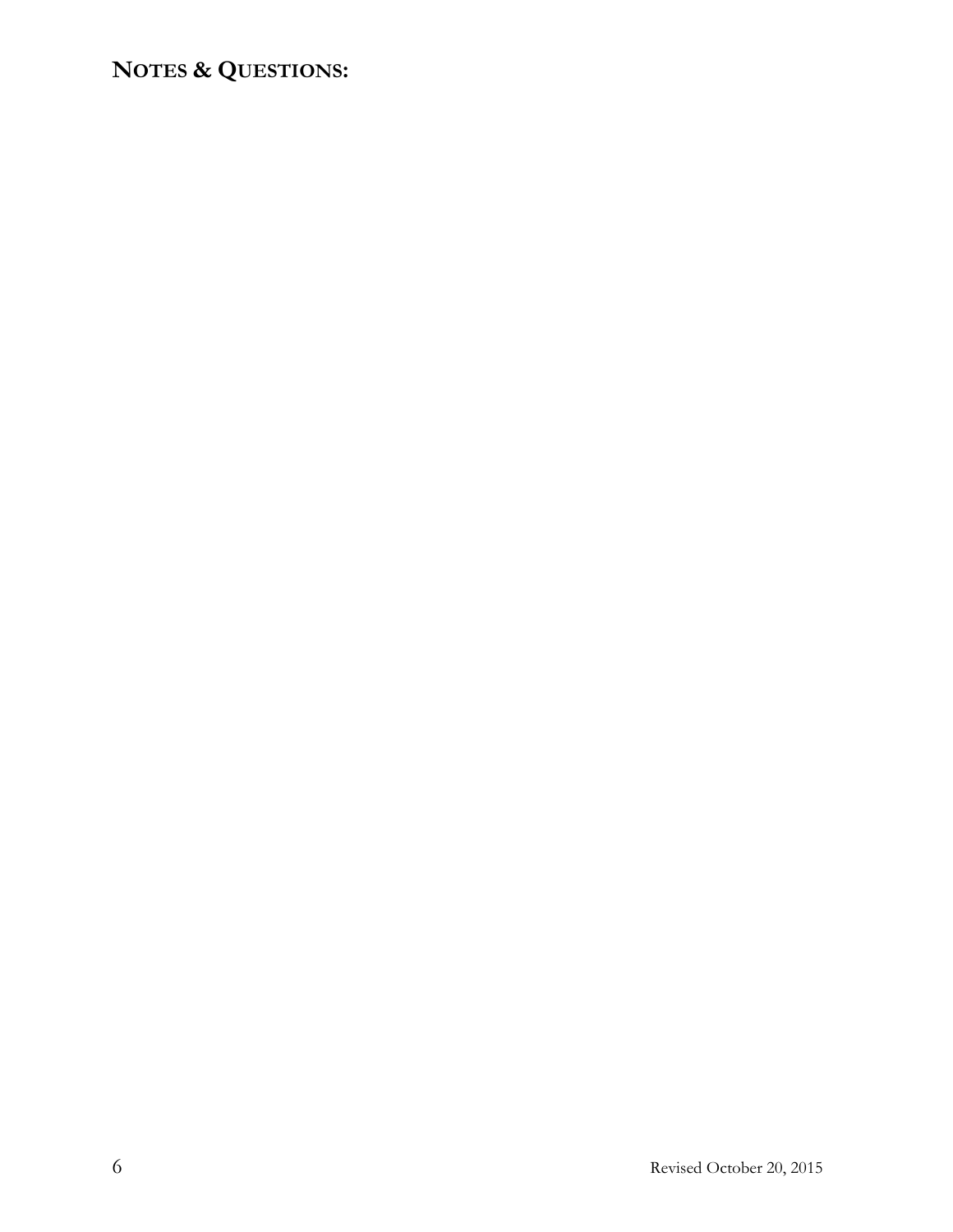# **NOTES & QUESTIONS:**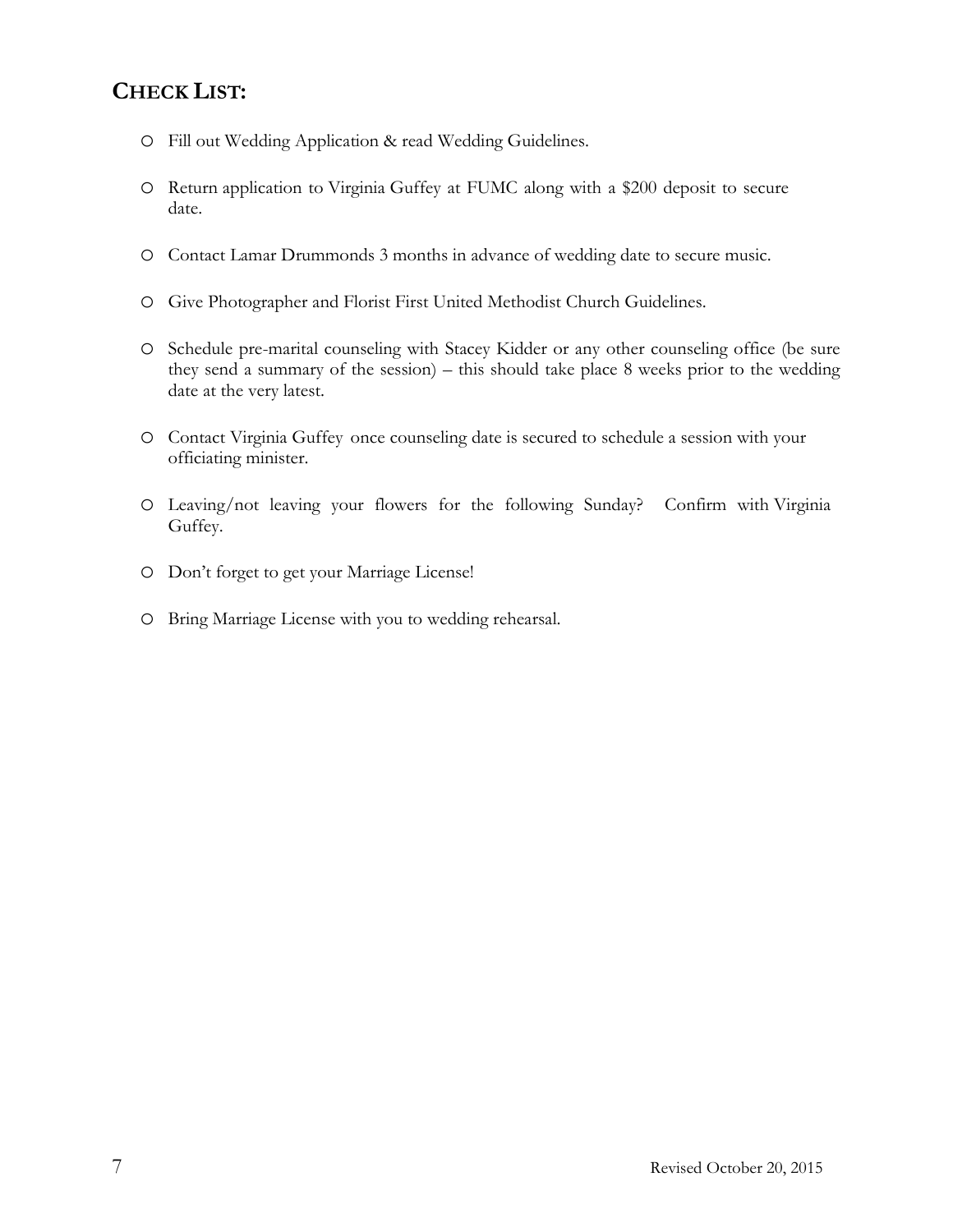## **CHECK LIST:**

- o Fill out Wedding Application & read Wedding Guidelines.
- o Return application to Virginia Guffey at FUMC along with a \$200 deposit to secure date.
- o Contact Lamar Drummonds 3 months in advance of wedding date to secure music.
- o Give Photographer and Florist First United Methodist Church Guidelines.
- o Schedule pre-marital counseling with Stacey Kidder or any other counseling office (be sure they send a summary of the session) – this should take place 8 weeks prior to the wedding date at the very latest.
- o Contact Virginia Guffey once counseling date is secured to schedule a session with your officiating minister.
- o Leaving/not leaving your flowers for the following Sunday? Confirm with Virginia Guffey.
- o Don't forget to get your Marriage License!
- o Bring Marriage License with you to wedding rehearsal.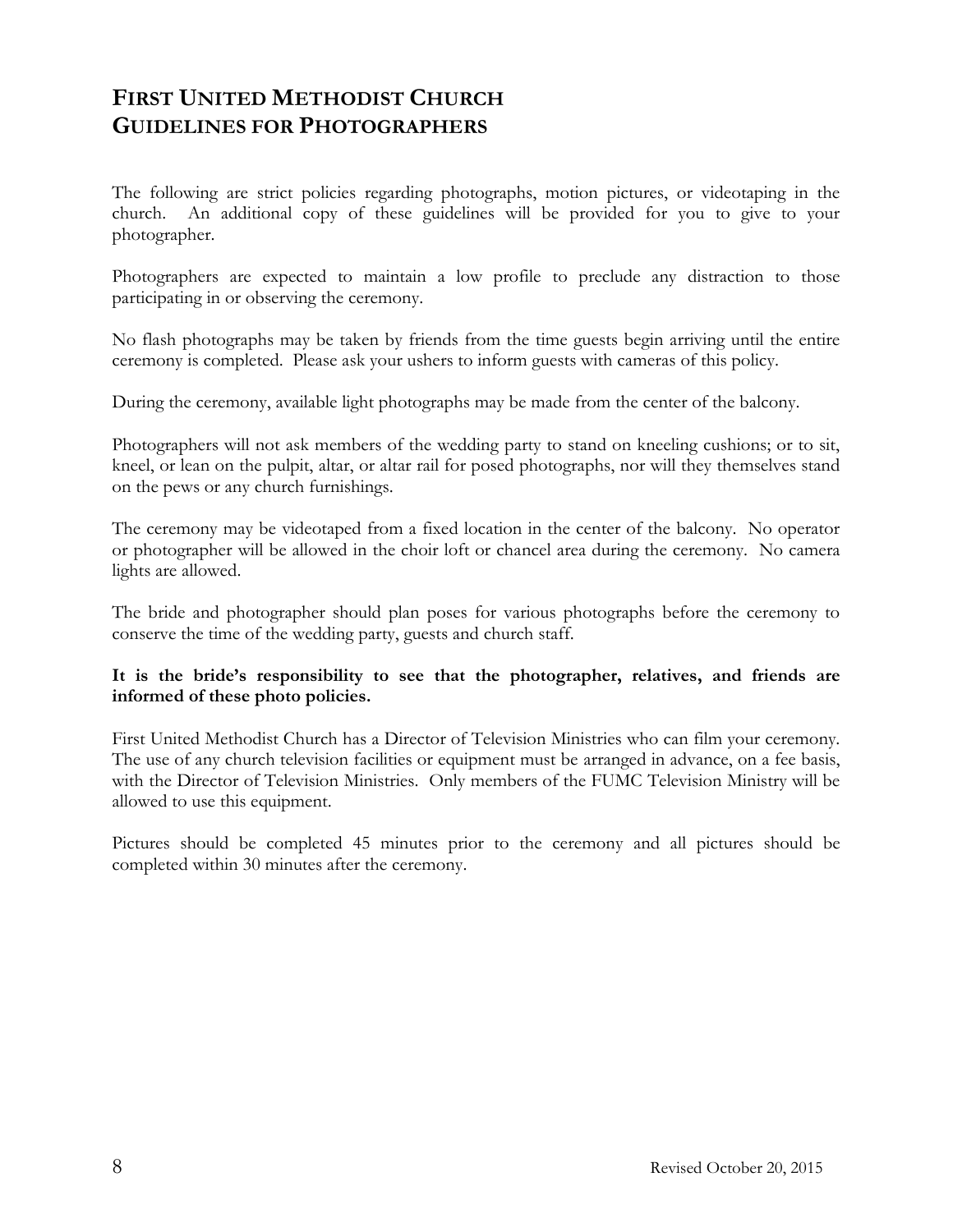# **FIRST UNITED METHODIST CHURCH GUIDELINES FOR PHOTOGRAPHERS**

The following are strict policies regarding photographs, motion pictures, or videotaping in the church. An additional copy of these guidelines will be provided for you to give to your photographer.

Photographers are expected to maintain a low profile to preclude any distraction to those participating in or observing the ceremony.

No flash photographs may be taken by friends from the time guests begin arriving until the entire ceremony is completed. Please ask your ushers to inform guests with cameras of this policy.

During the ceremony, available light photographs may be made from the center of the balcony.

Photographers will not ask members of the wedding party to stand on kneeling cushions; or to sit, kneel, or lean on the pulpit, altar, or altar rail for posed photographs, nor will they themselves stand on the pews or any church furnishings.

The ceremony may be videotaped from a fixed location in the center of the balcony. No operator or photographer will be allowed in the choir loft or chancel area during the ceremony. No camera lights are allowed.

The bride and photographer should plan poses for various photographs before the ceremony to conserve the time of the wedding party, guests and church staff.

#### **It is the bride's responsibility to see that the photographer, relatives, and friends are informed of these photo policies.**

First United Methodist Church has a Director of Television Ministries who can film your ceremony. The use of any church television facilities or equipment must be arranged in advance, on a fee basis, with the Director of Television Ministries. Only members of the FUMC Television Ministry will be allowed to use this equipment.

Pictures should be completed 45 minutes prior to the ceremony and all pictures should be completed within 30 minutes after the ceremony.